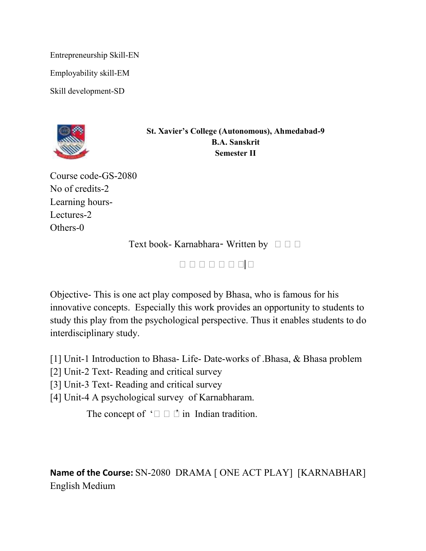Entrepreneurship Skill-EN Employability skill-EM

Skill development-SD



**St. Xavier's College (Autonomous), Ahmedabad-9 B.A. Sanskrit Semester II**

Course code-GS-2080 No of credits-2 Learning hours-Lectures-2 Others-0

Text book- Karnabhara- Written by  $\square \square$ 

भभभभभभभभ|

Objective- This is one act play composed by Bhasa, who is famous for his innovative concepts. Especially this work provides an opportunity to students to study this play from the psychological perspective. Thus it enables students to do interdisciplinary study.

[1] Unit-1 Introduction to Bhasa- Life- Date-works of .Bhasa, & Bhasa problem

[2] Unit-2 Text- Reading and critical survey

[3] Unit-3 Text- Reading and critical survey

[4] Unit-4 A psychological survey of Karnabharam.

The concept of ' $\Box$   $\Box$   $\Box$  in Indian tradition.

**Name of the Course:** SN-2080 DRAMA [ ONE ACT PLAY] [KARNABHAR] English Medium